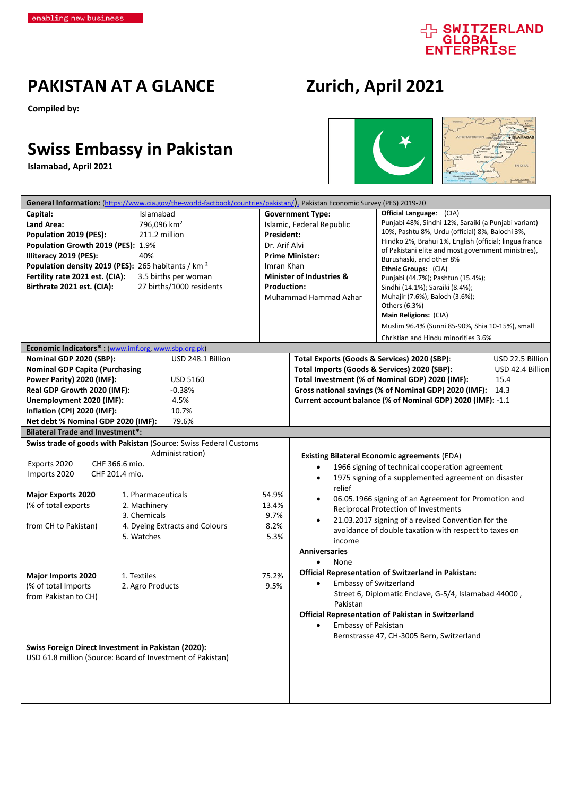## d SWITZERLAND

### **PAKISTAN AT A GLANCE Zurich, April 2021**

**Compiled by:**

## **Swiss Embassy in Pakistan**

**Islamabad, April 2021**





|                                         | General Information: (https://www.cia.gov/the-world-factbook/countries/pakistan/), Pakistan Economic Survey (PES) 2019-20 |                                                   |                                              |                                                             |                  |
|-----------------------------------------|---------------------------------------------------------------------------------------------------------------------------|---------------------------------------------------|----------------------------------------------|-------------------------------------------------------------|------------------|
| Capital:                                | Islamabad                                                                                                                 |                                                   | <b>Government Type:</b>                      | <b>Official Language:</b> (CIA)                             |                  |
| Land Area:                              | 796,096 km <sup>2</sup>                                                                                                   | Islamic, Federal Republic                         |                                              | Punjabi 48%, Sindhi 12%, Saraiki (a Punjabi variant)        |                  |
| Population 2019 (PES):                  | 211.2 million                                                                                                             | President:                                        |                                              | 10%, Pashtu 8%, Urdu (official) 8%, Balochi 3%,             |                  |
| Population Growth 2019 (PES): 1.9%      |                                                                                                                           | Dr. Arif Alvi                                     |                                              | Hindko 2%, Brahui 1%, English (official; lingua franca      |                  |
| Illiteracy 2019 (PES):                  | 40%                                                                                                                       |                                                   | <b>Prime Minister:</b>                       | of Pakistani elite and most government ministries),         |                  |
|                                         | Population density 2019 (PES): 265 habitants / km <sup>2</sup>                                                            | Imran Khan<br><b>Minister of Industries &amp;</b> |                                              | Burushaski, and other 8%<br>Ethnic Groups: (CIA)            |                  |
| Fertility rate 2021 est. (CIA):         | 3.5 births per woman                                                                                                      |                                                   |                                              | Punjabi (44.7%); Pashtun (15.4%);                           |                  |
| Birthrate 2021 est. (CIA):              | 27 births/1000 residents                                                                                                  | <b>Production:</b>                                |                                              | Sindhi (14.1%); Saraiki (8.4%);                             |                  |
|                                         |                                                                                                                           |                                                   | Muhammad Hammad Azhar                        | Muhajir (7.6%); Baloch (3.6%);                              |                  |
|                                         |                                                                                                                           |                                                   |                                              | Others (6.3%)                                               |                  |
|                                         |                                                                                                                           |                                                   |                                              | Main Religions: (CIA)                                       |                  |
|                                         |                                                                                                                           |                                                   |                                              | Muslim 96.4% (Sunni 85-90%, Shia 10-15%), small             |                  |
|                                         |                                                                                                                           |                                                   |                                              | Christian and Hindu minorities 3.6%                         |                  |
|                                         | Economic Indicators*: (www.imf.org, www.sbp.org.pk)                                                                       |                                                   |                                              |                                                             |                  |
| Nominal GDP 2020 (SBP):                 | USD 248.1 Billion                                                                                                         |                                                   | Total Exports (Goods & Services) 2020 (SBP): |                                                             | USD 22.5 Billion |
| <b>Nominal GDP Capita (Purchasing</b>   |                                                                                                                           |                                                   | Total Imports (Goods & Services) 2020 (SBP): |                                                             | USD 42.4 Billion |
| Power Parity) 2020 (IMF):               | <b>USD 5160</b>                                                                                                           |                                                   |                                              | Total Investment (% of Nominal GDP) 2020 (IMF):             | 15.4             |
| Real GDP Growth 2020 (IMF):             | $-0.38%$                                                                                                                  |                                                   |                                              | Gross national savings (% of Nominal GDP) 2020 (IMF): 14.3  |                  |
| Unemployment 2020 (IMF):                | 4.5%                                                                                                                      |                                                   |                                              | Current account balance (% of Nominal GDP) 2020 (IMF): -1.1 |                  |
| Inflation (CPI) 2020 (IMF):             | 10.7%                                                                                                                     |                                                   |                                              |                                                             |                  |
| Net debt % Nominal GDP 2020 (IMF):      | 79.6%                                                                                                                     |                                                   |                                              |                                                             |                  |
| <b>Bilateral Trade and Investment*:</b> |                                                                                                                           |                                                   |                                              |                                                             |                  |
|                                         | Swiss trade of goods with Pakistan (Source: Swiss Federal Customs                                                         |                                                   |                                              |                                                             |                  |
|                                         | Administration)                                                                                                           |                                                   |                                              | <b>Existing Bilateral Economic agreements (EDA)</b>         |                  |
| Exports 2020                            | CHF 366.6 mio.                                                                                                            |                                                   | $\bullet$                                    | 1966 signing of technical cooperation agreement             |                  |
| Imports 2020                            | CHF 201.4 mio.                                                                                                            |                                                   | $\bullet$                                    | 1975 signing of a supplemented agreement on disaster        |                  |
|                                         |                                                                                                                           |                                                   | relief                                       |                                                             |                  |
| <b>Major Exports 2020</b>               | 1. Pharmaceuticals                                                                                                        | 54.9%                                             |                                              | 06.05.1966 signing of an Agreement for Promotion and        |                  |
| (% of total exports                     | 2. Machinery                                                                                                              | 13.4%                                             |                                              | <b>Reciprocal Protection of Investments</b>                 |                  |
|                                         | 3. Chemicals                                                                                                              | 9.7%                                              | $\bullet$                                    | 21.03.2017 signing of a revised Convention for the          |                  |
| from CH to Pakistan)                    | 4. Dyeing Extracts and Colours                                                                                            | 8.2%                                              |                                              | avoidance of double taxation with respect to taxes on       |                  |
|                                         | 5. Watches                                                                                                                | 5.3%                                              | income                                       |                                                             |                  |
|                                         |                                                                                                                           |                                                   | <b>Anniversaries</b>                         |                                                             |                  |
|                                         |                                                                                                                           |                                                   | None                                         |                                                             |                  |
| <b>Major Imports 2020</b>               | 1. Textiles                                                                                                               | 75.2%                                             |                                              | <b>Official Representation of Switzerland in Pakistan:</b>  |                  |
| (% of total Imports                     | 2. Agro Products                                                                                                          | 9.5%                                              | <b>Embassy of Switzerland</b>                |                                                             |                  |
| from Pakistan to CH)                    |                                                                                                                           |                                                   |                                              | Street 6, Diplomatic Enclave, G-5/4, Islamabad 44000,       |                  |
|                                         |                                                                                                                           |                                                   | Pakistan                                     |                                                             |                  |
|                                         |                                                                                                                           |                                                   |                                              | Official Representation of Pakistan in Switzerland          |                  |
|                                         |                                                                                                                           |                                                   | Embassy of Pakistan                          |                                                             |                  |
|                                         |                                                                                                                           |                                                   |                                              | Bernstrasse 47, CH-3005 Bern, Switzerland                   |                  |
|                                         | Swiss Foreign Direct Investment in Pakistan (2020):                                                                       |                                                   |                                              |                                                             |                  |
|                                         | USD 61.8 million (Source: Board of Investment of Pakistan)                                                                |                                                   |                                              |                                                             |                  |
|                                         |                                                                                                                           |                                                   |                                              |                                                             |                  |
|                                         |                                                                                                                           |                                                   |                                              |                                                             |                  |
|                                         |                                                                                                                           |                                                   |                                              |                                                             |                  |
|                                         |                                                                                                                           |                                                   |                                              |                                                             |                  |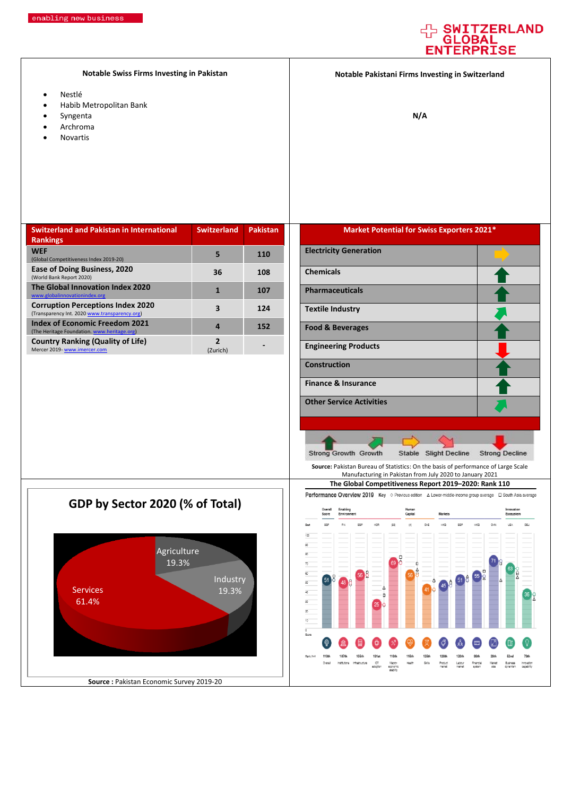#### **WITZERLAND** G OBAI **ENTERPRISE**

**Notable Swiss Firms Investing in Pakistan**

- Nestlé
- Habib Metropolitan Bank
- Syngenta
- Archroma
- Novartis

**Notable Pakistani Firms Investing in Switzerland**

**N/A**

| <b>Switzerland and Pakistan in International</b>                                          | <b>Switzerland</b>       | <b>Pakistan</b> |
|-------------------------------------------------------------------------------------------|--------------------------|-----------------|
| <b>Rankings</b>                                                                           |                          |                 |
| <b>WEF</b>                                                                                | 5                        | <b>110</b>      |
| (Global Competitiveness Index 2019-20)                                                    |                          |                 |
| Ease of Doing Business, 2020<br>(World Bank Report 2020)                                  | 36                       | 108             |
| The Global Innovation Index 2020<br>www.globalinnovationindex.org                         |                          | 107             |
| <b>Corruption Perceptions Index 2020</b><br>(Transparency Int. 2020 www.transparency.org) | 3                        | 124             |
| <b>Index of Economic Freedom 2021</b><br>(The Heritage Foundation. www.heritage.org)      | 4                        | 152             |
| <b>Country Ranking (Quality of Life)</b>                                                  | $\overline{\phantom{a}}$ |                 |
| Mercer 2019- www.imercer.com                                                              | (Zurich)                 |                 |

#### **Market Potential for Swiss Exporters 2021\***

| <b>Electricity Generation</b>   |  |
|---------------------------------|--|
| <b>Chemicals</b>                |  |
| <b>Pharmaceuticals</b>          |  |
| <b>Textile Industry</b>         |  |
| <b>Food &amp; Beverages</b>     |  |
| <b>Engineering Products</b>     |  |
| <b>Construction</b>             |  |
| <b>Finance &amp; Insurance</b>  |  |
| <b>Other Service Activities</b> |  |
|                                 |  |

Agriculture 19.3% **Industry** Services 19.3% 61.4% **GDP by Sector 2020 (% of Total)**

**Source :** Pakistan Economic Survey 2019-20



**Source:** Pakistan Bureau of Statistics: On the basis of performance of Large Scale

Stable Slight Decline

**Strong Decline** 

Strong Growth Growth